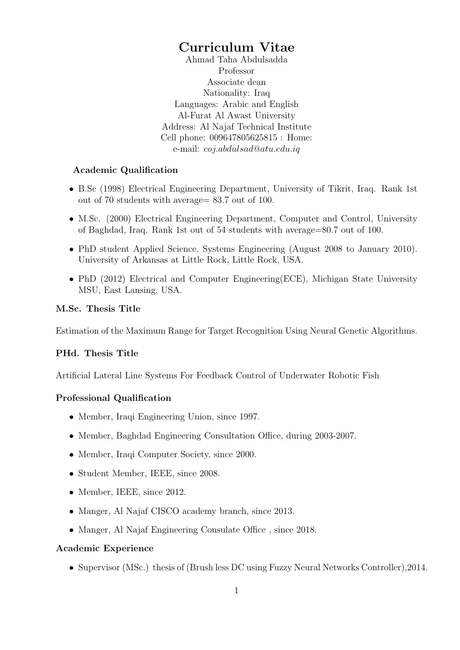## Curriculum Vitae

Ahmad Taha Abdulsadda Professor Associate dean Nationality: Iraq Languages: Arabic and English Al-Furat Al Awast University Address: Al Najaf Technical Institute Cell phone: 009647805625815 : Home: e-mail: coj.abdulsad@atu.edu.iq

#### Academic Qualification

- B.Sc (1998) Electrical Engineering Department, University of Tikrit, Iraq. Rank 1st out of 70 students with average= 83.7 out of 100.
- M.Sc. (2000) Electrical Engineering Department, Computer and Control, University of Baghdad, Iraq. Rank 1st out of 54 students with average=80.7 out of 100.
- PhD student Applied Science, Systems Engineering (August 2008 to January 2010). University of Arkansas at Little Rock, Little Rock, USA.
- PhD (2012) Electrical and Computer Engineering(ECE), Michigan State University MSU, East Lansing, USA.

#### M.Sc. Thesis Title

Estimation of the Maximum Range for Target Recognition Using Neural Genetic Algorithms.

### PHd. Thesis Title

Artificial Lateral Line Systems For Feedback Control of Underwater Robotic Fish

### Professional Qualification

- Member, Iraqi Engineering Union, since 1997.
- Member, Baghdad Engineering Consultation Office, during 2003-2007.
- Member, Iraqi Computer Society, since 2000.
- Student Member, IEEE, since 2008.
- Member, IEEE, since 2012.
- Manger, Al Najaf CISCO academy branch, since 2013.
- Manger, Al Najaf Engineering Consulate Office , since 2018.

#### Academic Experience

• Supervisor (MSc.) thesis of (Brush less DC using Fuzzy Neural Networks Controller),2014.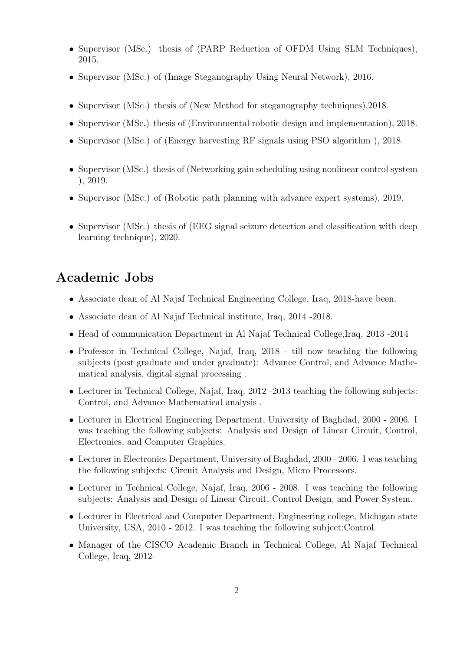- Supervisor (MSc.) thesis of (PARP Reduction of OFDM Using SLM Techniques), 2015.
- Supervisor (MSc.) of (Image Steganography Using Neural Network), 2016.
- Supervisor (MSc.) thesis of (New Method for steganography techniques), 2018.
- Supervisor (MSc.) thesis of (Environmental robotic design and implementation), 2018.
- Supervisor (MSc.) of (Energy harvesting RF signals using PSO algorithm ), 2018.
- Supervisor (MSc.) thesis of (Networking gain scheduling using nonlinear control system ), 2019.
- Supervisor (MSc.) of (Robotic path planning with advance expert systems), 2019.
- Supervisor (MSc.) thesis of (EEG signal seizure detection and classification with deep learning technique), 2020.

### Academic Jobs

- Associate dean of Al Najaf Technical Engineering College, Iraq, 2018-have been.
- Associate dean of Al Najaf Technical institute, Iraq, 2014 -2018.
- Head of communication Department in Al Najaf Technical College, Iraq, 2013 -2014
- Professor in Technical College, Najaf, Iraq, 2018 till now teaching the following subjects (post graduate and under graduate): Advance Control, and Advance Mathematical analysis, digital signal processing .
- Lecturer in Technical College, Najaf, Iraq, 2012 -2013 teaching the following subjects: Control, and Advance Mathematical analysis .
- Lecturer in Electrical Engineering Department, University of Baghdad, 2000 2006. I was teaching the following subjects: Analysis and Design of Linear Circuit, Control, Electronics, and Computer Graphics.
- Lecturer in Electronics Department, University of Baghdad, 2000 2006. I was teaching the following subjects: Circuit Analysis and Design, Micro Processors.
- Lecturer in Technical College, Najaf, Iraq, 2006 2008. I was teaching the following subjects: Analysis and Design of Linear Circuit, Control Design, and Power System.
- Lecturer in Electrical and Computer Department, Engineering college, Michigan state University, USA, 2010 - 2012. I was teaching the following subject:Control.
- Manager of the CISCO Academic Branch in Technical College, Al Najaf Technical College, Iraq, 2012-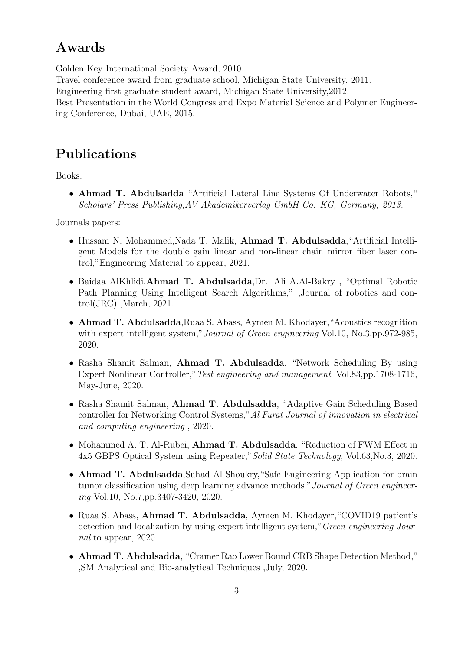## Awards

Golden Key International Society Award, 2010. Travel conference award from graduate school, Michigan State University, 2011. Engineering first graduate student award, Michigan State University,2012. Best Presentation in the World Congress and Expo Material Science and Polymer Engineering Conference, Dubai, UAE, 2015.

# Publications

Books:

• Ahmad T. Abdulsadda "Artificial Lateral Line Systems Of Underwater Robots," Scholars' Press Publishing,AV Akademikerverlag GmbH Co. KG, Germany, 2013.

Journals papers:

- Hussam N. Mohammed,Nada T. Malik, Ahmad T. Abdulsadda,"Artificial Intelligent Models for the double gain linear and non-linear chain mirror fiber laser control,"Engineering Material to appear, 2021.
- Baidaa AlKhlidi,Ahmad T. Abdulsadda,Dr. Ali A.Al-Bakry , "Optimal Robotic Path Planning Using Intelligent Search Algorithms," ,Journal of robotics and control(JRC) ,March, 2021.
- Ahmad T. Abdulsadda,Ruaa S. Abass, Aymen M. Khodayer,"Acoustics recognition with expert intelligent system," Journal of Green engineering Vol.10, No.3,pp.972-985, 2020.
- Rasha Shamit Salman, Ahmad T. Abdulsadda, "Network Scheduling By using Expert Nonlinear Controller,"Test engineering and management, Vol.83,pp.1708-1716, May-June, 2020.
- Rasha Shamit Salman, Ahmad T. Abdulsadda, "Adaptive Gain Scheduling Based controller for Networking Control Systems,"Al Furat Journal of innovation in electrical and computing engineering , 2020.
- Mohammed A. T. Al-Rubei, Ahmad T. Abdulsadda, "Reduction of FWM Effect in 4x5 GBPS Optical System using Repeater,"Solid State Technology, Vol.63,No.3, 2020.
- Ahmad T. Abdulsadda, Suhad Al-Shoukry, "Safe Engineering Application for brain tumor classification using deep learning advance methods," Journal of Green engineering Vol.10, No.7,pp.3407-3420, 2020.
- Ruaa S. Abass, Ahmad T. Abdulsadda, Aymen M. Khodayer,"COVID19 patient's detection and localization by using expert intelligent system,"Green engineering Journal to appear, 2020.
- Ahmad T. Abdulsadda, "Cramer Rao Lower Bound CRB Shape Detection Method," ,SM Analytical and Bio-analytical Techniques ,July, 2020.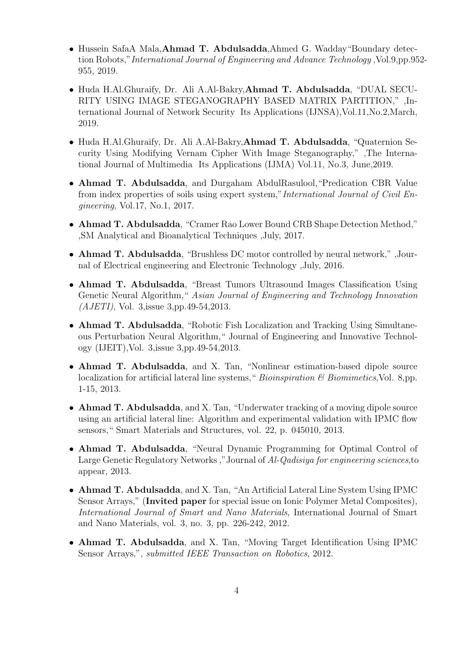- Hussein SafaA Mala,Ahmad T. Abdulsadda,Ahmed G. Wadday"Boundary detection Robots,"International Journal of Engineering and Advance Technology ,Vol.9,pp.952- 955, 2019.
- Huda H.Al.Ghuraify, Dr. Ali A.Al-Bakry,Ahmad T. Abdulsadda, "DUAL SECU-RITY USING IMAGE STEGANOGRAPHY BASED MATRIX PARTITION," ,International Journal of Network Security Its Applications (IJNSA),Vol.11,No.2,March, 2019.
- Huda H.Al.Ghuraify, Dr. Ali A.Al-Bakry,Ahmad T. Abdulsadda, "Quaternion Security Using Modifying Vernam Cipher With Image Steganography," ,The International Journal of Multimedia Its Applications (IJMA) Vol.11, No.3, June,2019.
- Ahmad T. Abdulsadda, and Durgaham AbdulRasulool,"Predication CBR Value from index properties of soils using expert system,"International Journal of Civil Engineering, Vol.17, No.1, 2017.
- Ahmad T. Abdulsadda, "Cramer Rao Lower Bound CRB Shape Detection Method," ,SM Analytical and Bioanalytical Techniques ,July, 2017.
- Ahmad T. Abdulsadda, "Brushless DC motor controlled by neural network," ,Journal of Electrical engineering and Electronic Technology ,July, 2016.
- Ahmad T. Abdulsadda, "Breast Tumors Ultrasound Images Classification Using Genetic Neural Algorithm," Asian Journal of Engineering and Technology Innovation (AJETI), Vol. 3,issue 3,pp.49-54,2013.
- Ahmad T. Abdulsadda, "Robotic Fish Localization and Tracking Using Simultaneous Perturbation Neural Algorithm," Journal of Engineering and Innovative Technology (IJEIT),Vol. 3,issue 3,pp.49-54,2013.
- Ahmad T. Abdulsadda, and X. Tan, "Nonlinear estimation-based dipole source localization for artificial lateral line systems, "Bioinspiration  $\mathcal C$  Biomimetics, Vol. 8, pp. 1-15, 2013.
- Ahmad T. Abdulsadda, and X. Tan, "Underwater tracking of a moving dipole source using an artificial lateral line: Algorithm and experimental validation with IPMC flow sensors," Smart Materials and Structures, vol. 22, p. 045010, 2013.
- Ahmad T. Abdulsadda, "Neural Dynamic Programming for Optimal Control of Large Genetic Regulatory Networks ,"Journal of Al-Qadisiya for engineering sciences,to appear, 2013.
- Ahmad T. Abdulsadda, and X. Tan, "An Artificial Lateral Line System Using IPMC Sensor Arrays," (Invited paper for special issue on Ionic Polymer Metal Composites), International Journal of Smart and Nano Materials, International Journal of Smart and Nano Materials, vol. 3, no. 3, pp. 226-242, 2012.
- Ahmad T. Abdulsadda, and X. Tan, "Moving Target Identification Using IPMC Sensor Arrays,", *submitted IEEE Transaction on Robotics*, 2012.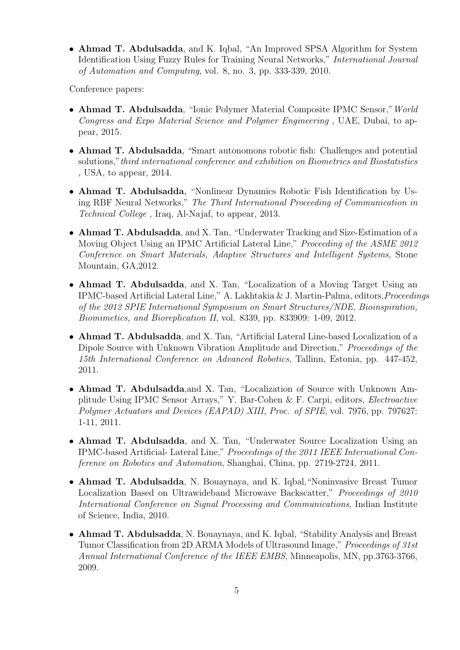• Ahmad T. Abdulsadda, and K. Iqbal, "An Improved SPSA Algorithm for System Identification Using Fuzzy Rules for Training Neural Networks," International Journal of Automation and Computing, vol. 8, no. 3, pp. 333-339, 2010.

Conference papers:

- Ahmad T. Abdulsadda, "Ionic Polymer Material Composite IPMC Sensor,"World Congress and Expo Material Science and Polymer Engineering , UAE, Dubai, to appear, 2015.
- Ahmad T. Abdulsadda, "Smart autonomons robotic fish: Challenges and potential solutions," third international conference and exhibition on Biometrics and Biostatistics , USA, to appear, 2014.
- Ahmad T. Abdulsadda, "Nonlinear Dynamics Robotic Fish Identification by Using RBF Neural Networks," The Third International Proceeding of Communication in Technical College , Iraq, Al-Najaf, to appear, 2013.
- Ahmad T. Abdulsadda, and X. Tan, "Underwater Tracking and Size-Estimation of a Moving Object Using an IPMC Artificial Lateral Line," *Proceeding of the ASME 2012* Conference on Smart Materials, Adaptive Structures and Intelligent Systems, Stone Mountain, GA,2012.
- Ahmad T. Abdulsadda, and X. Tan, "Localization of a Moving Target Using an IPMC-based Artificial Lateral Line," A. Lakhtakia & J. Martin-Palma, editors,Proceedings of the 2012 SPIE International Symposium on Smart Structures/NDE, Bioinspiration, Biomimetics, and Bioreplication II, vol. 8339, pp. 833909: 1-09, 2012.
- Ahmad T. Abdulsadda, and X. Tan, "Artificial Lateral Line-based Localization of a Dipole Source with Unknown Vibration Amplitude and Direction," Proceedings of the 15th International Conference on Advanced Robotics, Tallinn, Estonia, pp. 447-452, 2011.
- Ahmad T. Abdulsadda,and X. Tan, "Localization of Source with Unknown Amplitude Using IPMC Sensor Arrays," Y. Bar-Cohen & F. Carpi, editors, Electroactive Polymer Actuators and Devices (EAPAD) XIII, Proc. of SPIE, vol. 7976, pp. 797627: 1-11, 2011.
- Ahmad T. Abdulsadda, and X. Tan, "Underwater Source Localization Using an IPMC-based Artificial- Lateral Line," Proceedings of the 2011 IEEE International Conference on Robotics and Automation, Shanghai, China, pp. 2719-2724, 2011.
- Ahmad T. Abdulsadda, N. Bouaynaya, and K. Iqbal,"Noninvasive Breast Tumor Localization Based on Ultrawideband Microwave Backscatter," Proceedings of 2010 International Conference on Signal Processing and Communications, Indian Institute of Science, India, 2010.
- Ahmad T. Abdulsadda, N. Bouaynaya, and K. Iqbal, "Stability Analysis and Breast Tumor Classification from 2D ARMA Models of Ultrasound Image," Proceedings of 31st Annual International Conference of the IEEE EMBS, Minneapolis, MN, pp.3763-3766, 2009.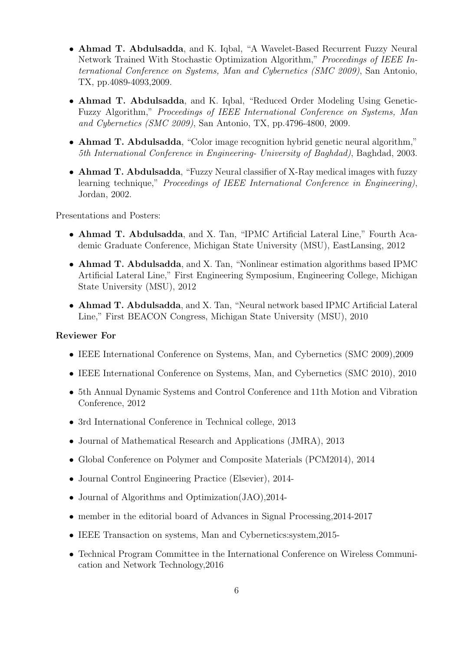- Ahmad T. Abdulsadda, and K. Iqbal, "A Wavelet-Based Recurrent Fuzzy Neural Network Trained With Stochastic Optimization Algorithm," Proceedings of IEEE International Conference on Systems, Man and Cybernetics (SMC 2009), San Antonio, TX, pp.4089-4093,2009.
- Ahmad T. Abdulsadda, and K. Iqbal, "Reduced Order Modeling Using Genetic-Fuzzy Algorithm," Proceedings of IEEE International Conference on Systems, Man and Cybernetics (SMC 2009), San Antonio, TX, pp.4796-4800, 2009.
- Ahmad T. Abdulsadda, "Color image recognition hybrid genetic neural algorithm," 5th International Conference in Engineering- University of Baghdad), Baghdad, 2003.
- Ahmad T. Abdulsadda, "Fuzzy Neural classifier of X-Ray medical images with fuzzy learning technique," Proceedings of IEEE International Conference in Engineering), Jordan, 2002.

Presentations and Posters:

- Ahmad T. Abdulsadda, and X. Tan, "IPMC Artificial Lateral Line," Fourth Academic Graduate Conference, Michigan State University (MSU), EastLansing, 2012
- Ahmad T. Abdulsadda, and X. Tan, "Nonlinear estimation algorithms based IPMC Artificial Lateral Line," First Engineering Symposium, Engineering College, Michigan State University (MSU), 2012
- Ahmad T. Abdulsadda, and X. Tan, "Neural network based IPMC Artificial Lateral Line," First BEACON Congress, Michigan State University (MSU), 2010

#### Reviewer For

- IEEE International Conference on Systems, Man, and Cybernetics (SMC 2009),2009
- IEEE International Conference on Systems, Man, and Cybernetics (SMC 2010), 2010
- 5th Annual Dynamic Systems and Control Conference and 11th Motion and Vibration Conference, 2012
- 3rd International Conference in Technical college, 2013
- Journal of Mathematical Research and Applications (JMRA), 2013
- Global Conference on Polymer and Composite Materials (PCM2014), 2014
- Journal Control Engineering Practice (Elsevier), 2014-
- Journal of Algorithms and Optimization(JAO),2014-
- member in the editorial board of Advances in Signal Processing, 2014-2017
- IEEE Transaction on systems, Man and Cybernetics:system,2015-
- Technical Program Committee in the International Conference on Wireless Communication and Network Technology,2016